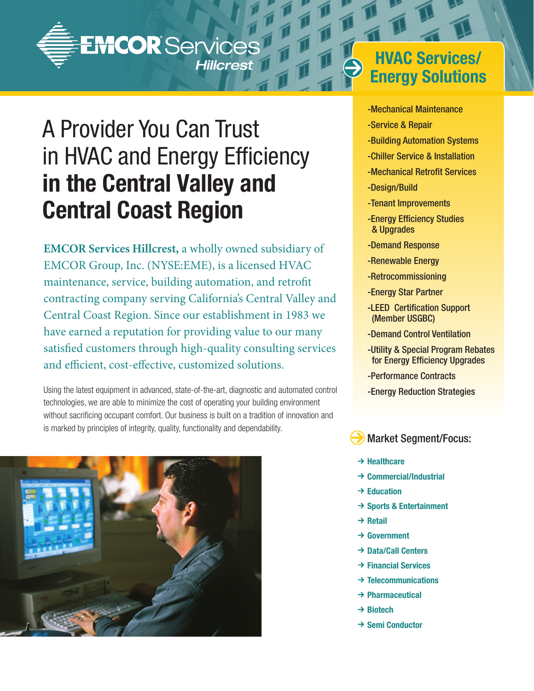

# A Provider You Can Trust in HVAC and Energy Efficiency **in the Central Valley and Central Coast Region**

**EMCOR Services Hillcrest,** a wholly owned subsidiary of EMCOR Group, Inc. (NYSE:EME), is a licensed HVAC maintenance, service, building automation, and retrofit contracting company serving California's Central Valley and Central Coast Region. Since our establishment in 1983 we have earned a reputation for providing value to our many satisfied customers through high-quality consulting services and efficient, cost-effective, customized solutions.

Using the latest equipment in advanced, state-of-the-art, diagnostic and automated control technologies, we are able to minimize the cost of operating your building environment without sacrificing occupant comfort. Our business is built on a tradition of innovation and is marked by principles of integrity, quality, functionality and dependability.



## **HVAC Services/ Energy Solutions**

- -Mechanical Maintenance
- -Service & Repair
- -Building Automation Systems
- -Chiller Service & Installation
- -Mechanical Retrofit Services
- -Design/Build
- -Tenant Improvements
- -Energy Efficiency Studies & Upgrades
- -Demand Response
- -Renewable Energy
- -Retrocommissioning
- -Energy Star Partner
- -LEED Certification Support (Member USGBC)
- -Demand Control Ventilation
- -Utility & Special Program Rebates for Energy Efficiency Upgrades
- -Performance Contracts
- -Energy Reduction Strategies

Market Segment/Focus:

- **→ Healthcare**
- **→ Commercial/Industrial**
- $→$  **Education**
- **→ Sports & Entertainment**
- **→ Retail**
- **→ Government**
- **Data/Call Centers**
- **Financial Services**
- **Telecommunications**
- **Pharmaceutical**
- **→ Biotech**
- **→ Semi Conductor**